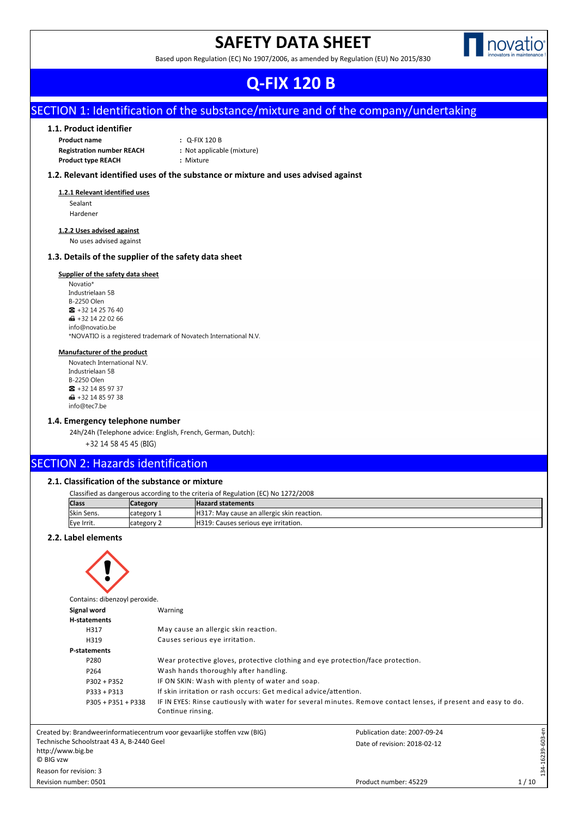## **SAFETY DATA SHEET**



134-16239-603-en

134-16239-603-en

Based upon Regulation (EC) No 1907/2006, as amended by Regulation (EU) No 2015/830

# **Q-FIX 120 B**

## SECTION 1: Identification of the substance/mixture and of the company/undertaking

#### **1.1. Product identifier**

| <b>Product name</b>              | $\therefore$ Q-FIX 120 B   |
|----------------------------------|----------------------------|
| <b>Registration number REACH</b> | : Not applicable (mixture) |
| <b>Product type REACH</b>        | : Mixture                  |

### **1.2. Relevant identified uses of the substance or mixture and uses advised against**

#### **1.2.1 Relevant identified uses**

Sealant Hardener

#### **1.2.2 Uses advised against**

No uses advised against

#### **1.3. Details of the supplier of the safety data sheet**

## **Supplier of the safety data sheet**<br>Novatio\*

Industrielaan 5B **B-2250 Olen**  $\bullet$  +32 14 25 76 40 **■ +32 14 22 02 66** info@novatio.be \*NOVATIO is a registered trademark of Novatech International N.V.

#### **Manufacturer of the product**

Novatech International N.V. Industrielaan 5B **B-2250 Olen**  $\bullet$  +32 14 85 97 37  $\bigoplus$  +32 14 85 97 38 info@tec7.be

#### **1.4. Emergency telephone number**

24h/24h (Telephone advice: English, French, German, Dutch): +32 14 58 45 45 (BIG)

## SECTION 2: Hazards identification

#### **2.1. Classification of the substance or mixture**

| Classified as dangerous according to the criteria of Regulation (EC) No 1272/2008 |                 |                                            |
|-----------------------------------------------------------------------------------|-----------------|--------------------------------------------|
| <b>Class</b>                                                                      | <b>Category</b> | <b>Hazard statements</b>                   |
| Skin Sens.                                                                        | category 1      | H317: May cause an allergic skin reaction. |
| Eve Irrit.                                                                        | category 2      | H319: Causes serious eye irritation.       |

#### **2.2. Label elements**

|                                | Contains: dibenzoyl peroxide.             |                                                                                 |                                                                                                                |      |
|--------------------------------|-------------------------------------------|---------------------------------------------------------------------------------|----------------------------------------------------------------------------------------------------------------|------|
|                                | Signal word                               | Warning                                                                         |                                                                                                                |      |
|                                | <b>H-statements</b>                       |                                                                                 |                                                                                                                |      |
|                                | H317                                      | May cause an allergic skin reaction.                                            |                                                                                                                |      |
|                                | H319                                      | Causes serious eye irritation.                                                  |                                                                                                                |      |
|                                | <b>P-statements</b>                       |                                                                                 |                                                                                                                |      |
|                                | P280                                      | Wear protective gloves, protective clothing and eye protection/face protection. |                                                                                                                |      |
|                                | P264                                      | Wash hands thoroughly after handling.                                           |                                                                                                                |      |
|                                | $P302 + P352$                             | IF ON SKIN: Wash with plenty of water and soap.                                 |                                                                                                                |      |
|                                | $P333 + P313$                             | If skin irritation or rash occurs: Get medical advice/attention.                |                                                                                                                |      |
|                                | P305 + P351 + P338                        | Continue rinsing.                                                               | IF IN EYES: Rinse cautiously with water for several minutes. Remove contact lenses, if present and easy to do. |      |
|                                |                                           | Created by: Brandweerinformatiecentrum voor gevaarlijke stoffen vzw (BIG)       | Publication date: 2007-09-24                                                                                   |      |
| http://www.big.be<br>C BIG vzw | Technische Schoolstraat 43 A, B-2440 Geel |                                                                                 | Date of revision: 2018-02-12                                                                                   |      |
| Reason for revision: 3         |                                           |                                                                                 |                                                                                                                |      |
| Revision number: 0501          |                                           |                                                                                 | Product number: 45229                                                                                          | 1/10 |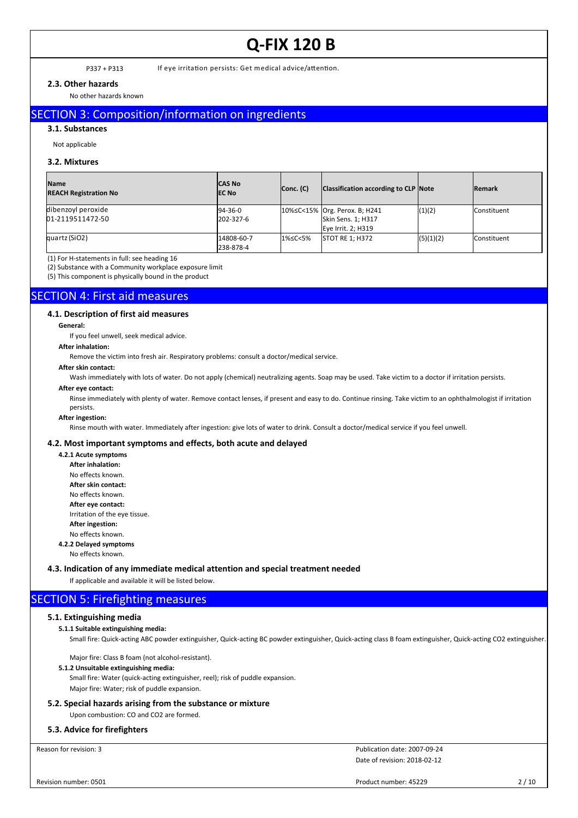P337 + P313 If eye irritation persists: Get medical advice/attention.

#### **2.3. Other hazards**

#### No other hazards known

## SECTION 3: Composition/information on ingredients

#### **3.1. Substances**

Not applicable

#### **3.2. Mixtures**

| <b>Name</b><br><b>REACH Registration No</b> | <b>CAS No</b><br><b>IEC No</b> | Conc. (C) | Classification according to CLP Note                                      |           | <b>Remark</b>      |
|---------------------------------------------|--------------------------------|-----------|---------------------------------------------------------------------------|-----------|--------------------|
| dibenzoyl peroxide<br>01-2119511472-50      | $194 - 36 - 0$<br>202-327-6    |           | 10%≤C<15% Org. Perox. B; H241<br>Skin Sens. 1; H317<br>Eye Irrit. 2; H319 | (1)(2)    | <b>Constituent</b> |
| quartz (SiO2)                               | 14808-60-7<br>238-878-4        | 1%≤C<5%   | <b>STOT RE 1: H372</b>                                                    | (5)(1)(2) | <b>Constituent</b> |

(1) For H-statements in full: see heading 16

(2) Substance with a Community workplace exposure limit

(5) This component is physically bound in the product

### SECTION 4: First aid measures

### **4.1. Description of first aid measures**

#### **General:**

If you feel unwell, seek medical advice.

#### **After inhalation:**

Remove the victim into fresh air. Respiratory problems: consult a doctor/medical service.

#### **After skin contact:**

Wash immediately with lots of water. Do not apply (chemical) neutralizing agents. Soap may be used. Take victim to a doctor if irritation persists.

#### **After eye contact:**

Rinse immediately with plenty of water. Remove contact lenses, if present and easy to do. Continue rinsing. Take victim to an ophthalmologist if irritation persists.

#### **After ingestion:**

Rinse mouth with water. Immediately after ingestion: give lots of water to drink. Consult a doctor/medical service if you feel unwell.

#### **4.2. Most important symptoms and effects, both acute and delayed**

**4.2.1 Acute symptoms After inhalation:** No effects known. **After skin contact:** No effects known. **After eye contact:** Irritation of the eye tissue. **After ingestion:** No effects known. **4.2.2 Delayed symptoms**

No effects known.

#### **4.3. Indication of any immediate medical attention and special treatment needed**

If applicable and available it will be listed below.

### SECTION 5: Firefighting measures

#### **5.1. Extinguishing media**

- **5.1.1 Suitable extinguishing media:**
	- Small fire: Quick-acting ABC powder extinguisher, Quick-acting BC powder extinguisher, Quick-acting class B foam extinguisher, Quick-acting CO2 extinguisher.

Major fire: Class B foam (not alcohol-resistant).

#### **5.1.2 Unsuitable extinguishing media:**

Small fire: Water (quick-acting extinguisher, reel); risk of puddle expansion. Major fire: Water; risk of puddle expansion.

### **5.2. Special hazards arising from the substance or mixture**

Upon combustion: CO and CO2 are formed.

#### **5.3. Advice for firefighters**

Reason for revision: 3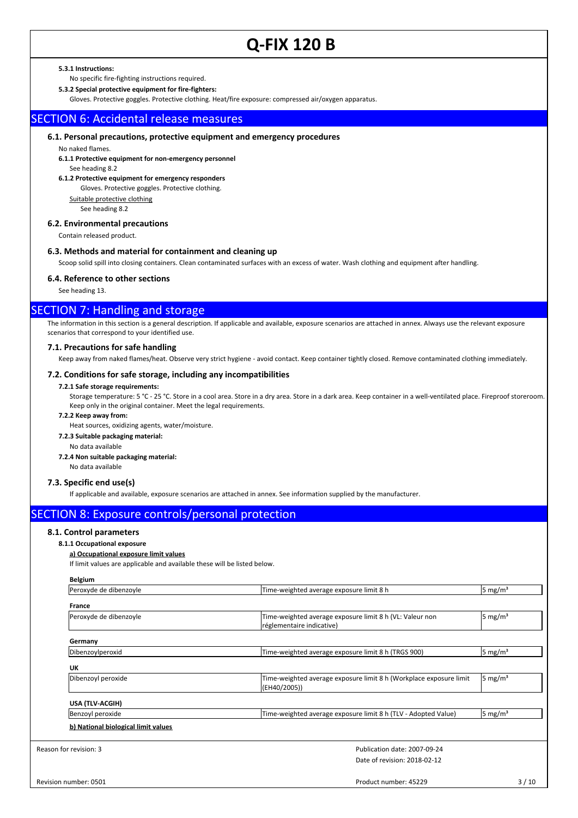#### **5.3.1 Instructions:**

No specific fire-fighting instructions required.

**5.3.2 Special protective equipment for fire-fighters:**

Gloves. Protective goggles. Protective clothing. Heat/fire exposure: compressed air/oxygen apparatus.

### SECTION 6: Accidental release measures

### **6.1. Personal precautions, protective equipment and emergency procedures**

#### No naked flames.

**6.1.1 Protective equipment for non-emergency personnel**

See heading 8.2

#### **6.1.2 Protective equipment for emergency responders**

Gloves. Protective goggles. Protective clothing.

Suitable protective clothing

See heading 8.2

#### **6.2. Environmental precautions**

Contain released product.

#### **6.3. Methods and material for containment and cleaning up**

Scoop solid spill into closing containers. Clean contaminated surfaces with an excess of water. Wash clothing and equipment after handling.

#### **6.4. Reference to other sections**

See heading 13.

## **SECTION 7: Handling and storage**

The information in this section is a general description. If applicable and available, exposure scenarios are attached in annex. Always use the relevant exposure scenarios that correspond to your identified use.

#### **7.1. Precautions for safe handling**

Keep away from naked flames/heat. Observe very strict hygiene - avoid contact. Keep container tightly closed. Remove contaminated clothing immediately.

#### **7.2. Conditions for safe storage, including any incompatibilities**

#### **7.2.1 Safe storage requirements:**

Storage temperature: 5 °C - 25 °C. Store in a cool area. Store in a dry area. Store in a dark area. Keep container in a well-ventilated place. Fireproof storeroom. Keep only in the original container. Meet the legal requirements.

#### **7.2.2 Keep away from:**

Heat sources, oxidizing agents, water/moisture.

### **7.2.3 Suitable packaging material:**

No data available

#### **7.2.4 Non suitable packaging material:**

No data available

#### **7.3. Specific end use(s)**

If applicable and available, exposure scenarios are attached in annex. See information supplied by the manufacturer.

## SECTION 8: Exposure controls/personal protection

### **8.1. Control parameters**

#### **8.1.1 Occupational exposure**

#### **a) Occupational exposure limit values**

If limit values are applicable and available these will be listed below.

| <b>Belgium</b>                      |                                                                                       |                     |
|-------------------------------------|---------------------------------------------------------------------------------------|---------------------|
| Peroxyde de dibenzoyle              | Time-weighted average exposure limit 8 h                                              | 5 mg/m <sup>3</sup> |
| France                              |                                                                                       |                     |
| Peroxyde de dibenzoyle              | Time-weighted average exposure limit 8 h (VL: Valeur non<br>réglementaire indicative) | 5 mg/ $m3$          |
| Germany                             |                                                                                       |                     |
| Dibenzoylperoxid                    | Time-weighted average exposure limit 8 h (TRGS 900)                                   | $5 \text{ mg/m}^3$  |
| UK                                  |                                                                                       |                     |
| Dibenzoyl peroxide                  | Time-weighted average exposure limit 8 h (Workplace exposure limit<br>(EH40/2005))    | 5 mg/m <sup>3</sup> |
| USA (TLV-ACGIH)                     |                                                                                       |                     |
| Benzoyl peroxide                    | Time-weighted average exposure limit 8 h (TLV - Adopted Value)                        | 5 mg/m <sup>3</sup> |
| b) National biological limit values |                                                                                       |                     |
| Reason for revision: 3              | Publication date: 2007-09-24                                                          |                     |
|                                     | Date of revision: 2018-02-12                                                          |                     |
| Revision number: 0501               | Product number: 45229                                                                 | 3/10                |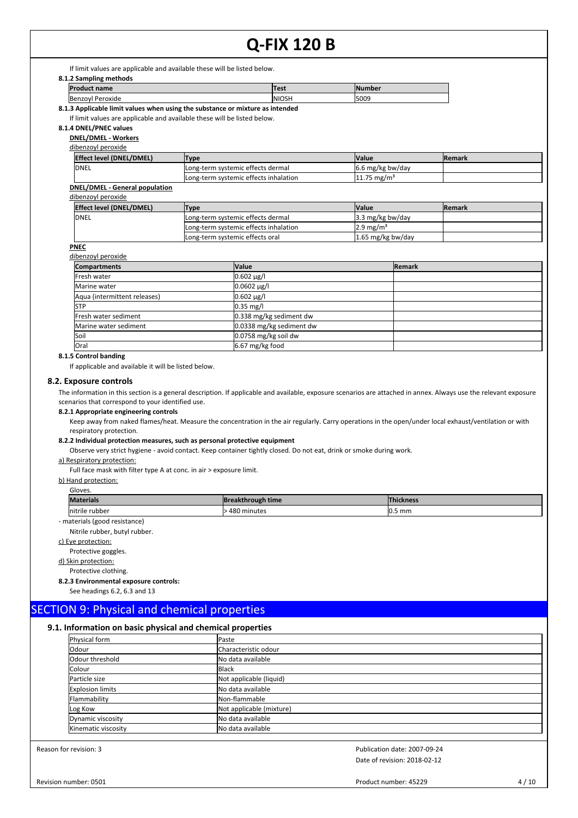If limit values are applicable and available these will be listed below.

| 8.1.2 Sampling methods |               |               |
|------------------------|---------------|---------------|
| <b>Product name</b>    | <b>Test</b>   | <b>Number</b> |
| Benzovl Peroxide       | <b>INIOSH</b> | l5009         |

## **8.1.3 Applicable limit values when using the substance or mixture as intended**

If limit values are applicable and available these will be listed below.

### **8.1.4 DNEL/PNEC values**

**DNEL/DMEL - Workers**

|  | dibenzoyl peroxide |  |
|--|--------------------|--|
|  |                    |  |

| <b>Effect level (DNEL/DMEL)</b> | <b>Type</b>                           | <b>Value</b>                  | <b>IRemark</b> |
|---------------------------------|---------------------------------------|-------------------------------|----------------|
| <b>DNEL</b>                     | Long-term systemic effects dermal     | $6.6 \,\mathrm{mg/kg}$ bw/day |                |
|                                 | Long-term systemic effects inhalation | $11.75~\mathrm{mg/m^3}$       |                |

#### **DNEL/DMEL - General population** dibenzoyl peroxide

| <b>Effect level (DNEL/DMEL)</b> | 'Type                                 | <b>Nalue</b>               | <b>IRemark</b> |
|---------------------------------|---------------------------------------|----------------------------|----------------|
| <b>IDNEL</b>                    | Long-term systemic effects dermal     | $3.3 \text{ mg/kg}$ bw/day |                |
|                                 | Long-term systemic effects inhalation | $2.9 \,\mathrm{mg/m^3}$    |                |
|                                 | Long-term systemic effects oral       | $1.65$ mg/kg bw/day        |                |

#### **PNEC**

dibenzoyl peroxide

| <b>Compartments</b>          | <b>Value</b>             | <b>Remark</b> |
|------------------------------|--------------------------|---------------|
| Fresh water                  | $0.602 \mu g/l$          |               |
| Marine water                 | $0.0602 \mu g/l$         |               |
| Aqua (intermittent releases) | $0.602 \mu g/l$          |               |
| <b>STP</b>                   | $0.35$ mg/l              |               |
| Fresh water sediment         | 0.338 mg/kg sediment dw  |               |
| Marine water sediment        | 0.0338 mg/kg sediment dw |               |
| Soil                         | $0.0758$ mg/kg soil dw   |               |
| Oral                         | 6.67 mg/kg food          |               |

#### **8.1.5 Control banding**

If applicable and available it will be listed below.

#### **8.2. Exposure controls**

The information in this section is a general description. If applicable and available, exposure scenarios are attached in annex. Always use the relevant exposure scenarios that correspond to your identified use.

#### **8.2.1 Appropriate engineering controls**

Keep away from naked flames/heat. Measure the concentration in the air regularly. Carry operations in the open/under local exhaust/ventilation or with respiratory protection.

#### **8.2.2 Individual protection measures, such as personal protective equipment**

Observe very strict hygiene - avoid contact. Keep container tightly closed. Do not eat, drink or smoke during work.

#### a) Respiratory protection:

Full face mask with filter type A at conc. in air > exposure limit.

#### b) Hand protection:

| Gloves.          |                          |                  |  |
|------------------|--------------------------|------------------|--|
| <b>Materials</b> | <b>Breakthrough time</b> | <b>Thickness</b> |  |
| nitrile rubber   | 480 minutes              | $10.5$ mm        |  |

- materials (good resistance)

Nitrile rubber, butyl rubber.

c) Eye protection:

#### Protective goggles.

d) Skin protection:

Protective clothing.

**8.2.3 Environmental exposure controls:**

See headings 6.2, 6.3 and 13

### SECTION 9: Physical and chemical properties

#### **9.1. Information on basic physical and chemical properties**

| Physical form           | Paste                    |
|-------------------------|--------------------------|
| <b>Odour</b>            | Characteristic odour     |
| Odour threshold         | No data available        |
| Colour                  | <b>Black</b>             |
| Particle size           | Not applicable (liquid)  |
| <b>Explosion limits</b> | No data available        |
| Flammability            | Non-flammable            |
| Log Kow                 | Not applicable (mixture) |
| Dynamic viscosity       | No data available        |
| Kinematic viscosity     | No data available        |

Reason for revision: 3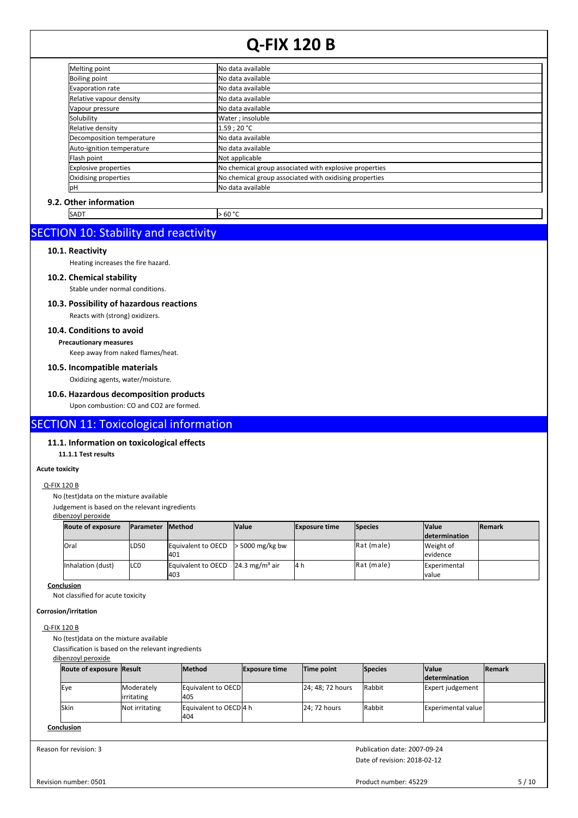| Melting point               | No data available                                      |
|-----------------------------|--------------------------------------------------------|
| <b>Boiling point</b>        | INo data available                                     |
| Evaporation rate            | No data available                                      |
| Relative vapour density     | No data available                                      |
| Vapour pressure             | No data available                                      |
| Solubility                  | Water ; insoluble                                      |
| Relative density            | l1.59 : 20 °C                                          |
| Decomposition temperature   | <b>I</b> No data available                             |
| Auto-ignition temperature   | <b>I</b> No data available                             |
| Flash point                 | Not applicable                                         |
| <b>Explosive properties</b> | No chemical group associated with explosive properties |
| Oxidising properties        | No chemical group associated with oxidising properties |
| <b>pH</b>                   | No data available                                      |

### **9.2. Other information**

 $SADT$  > 60 °C

## SECTION 10: Stability and reactivity

#### **10.1. Reactivity**

Heating increases the fire hazard.

#### **10.2. Chemical stability**

Stable under normal conditions.

## **10.3. Possibility of hazardous reactions**

Reacts with (strong) oxidizers. **10.4. Conditions to avoid**

#### **Precautionary measures**

Keep away from naked flames/heat.

#### **10.5. Incompatible materials**

Oxidizing agents, water/moisture.

#### **10.6. Hazardous decomposition products**

Upon combustion: CO and CO2 are formed.

## SECTION 11: Toxicological information

#### **11.1. Information on toxicological effects**

**11.1.1 Test results**

#### **Acute toxicity**

#### Q-FIX 120 B

No (test)data on the mixture available

Judgement is based on the relevant ingredients

dibenzoyl peroxide

| <b>Route of exposure</b> | <b>IParameter IMethod</b> |                                                      | <b>Value</b>      | <b>Exposure time</b> | <b>Species</b> | <b>Value</b>           | <b>IRemark</b> |
|--------------------------|---------------------------|------------------------------------------------------|-------------------|----------------------|----------------|------------------------|----------------|
|                          |                           |                                                      |                   |                      |                | determination          |                |
| <b>Oral</b>              | LD <sub>50</sub>          | Equivalent to OECD<br>401                            | $>$ 5000 mg/kg bw |                      | Rat (male)     | Weight of<br>levidence |                |
| Inhalation (dust)        | ILCO                      | Equivalent to OECD 24.3 mg/m <sup>3</sup> air<br>403 |                   | l4 h                 | Rat (male)     | Experimental<br>Ivalue |                |

**Conclusion**

Not classified for acute toxicity

**Corrosion/irritation**

### Q-FIX 120 B

No (test)data on the mixture available

Classification is based on the relevant ingredients

### dibenzoyl peroxide

| <b>Route of exposure Result</b> |                                 | <b>Method</b>                 | <b>Exposure time</b> | Time point       | <b>Species</b> | <b>Value</b>         | <b>Remark</b> |
|---------------------------------|---------------------------------|-------------------------------|----------------------|------------------|----------------|----------------------|---------------|
|                                 |                                 |                               |                      |                  |                | <b>determination</b> |               |
| lEye                            | <b>Moderately</b><br>irritating | Equivalent to OECD<br>405     |                      | 24; 48; 72 hours | Rabbit         | Expert judgement     |               |
| lSkin                           | Not irritating                  | Equivalent to OECD 4 h<br>404 |                      | 24: 72 hours     | Rabbit         | Experimental value   |               |

**Conclusion**

Reason for revision: 3

Date of revision: 2018-02-12 Publication date: 2007-09-24

Revision number: 0501

Product number: 45229 5 / 10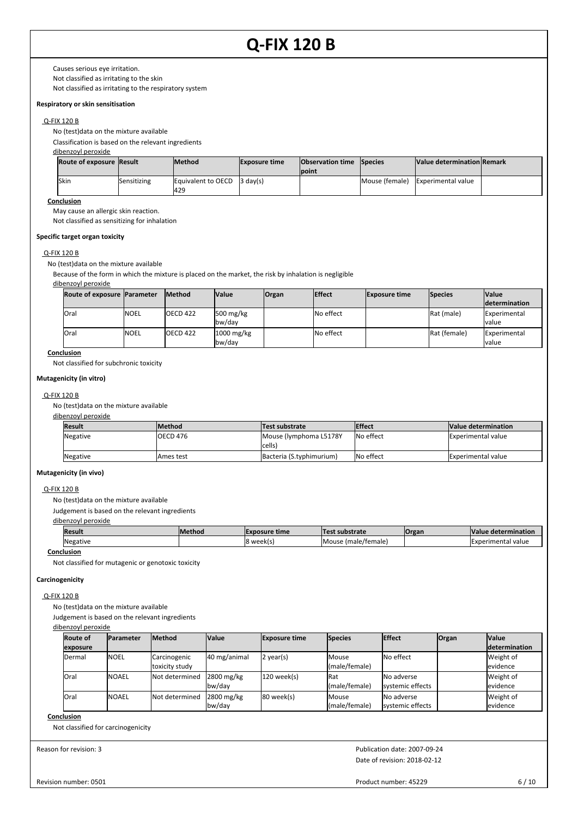Causes serious eye irritation.

Not classified as irritating to the skin Not classified as irritating to the respiratory system

### **Respiratory or skin sensitisation**

#### Q-FIX 120 B

No (test)data on the mixture available

Classification is based on the relevant ingredients

#### dibenzoyl peroxide

| Route of exposure Result |             | <b>IMethod</b>             | <b>Exposure time</b> | <b>Observation time Species</b><br><b>lpoint</b> | Value determination Remark        |  |
|--------------------------|-------------|----------------------------|----------------------|--------------------------------------------------|-----------------------------------|--|
| <b>Skin</b>              | Sensitizing | Equivalent to OECD<br>1429 | 3 dav(s)             |                                                  | Mouse (female) Experimental value |  |

#### **Conclusion**

May cause an allergic skin reaction.

Not classified as sensitizing for inhalation

#### **Specific target organ toxicity**

#### Q-FIX 120 B

No (test)data on the mixture available

Because of the form in which the mixture is placed on the market, the risk by inhalation is negligible

#### dibenzoyl peroxide

| Route of exposure  Parameter |       | <b>Method</b>   | <b>Value</b>                     | <b>Organ</b> | <b>Effect</b> | <b>Exposure time</b> | <b>Species</b>     | <b>Value</b><br><b>determination</b> |
|------------------------------|-------|-----------------|----------------------------------|--------------|---------------|----------------------|--------------------|--------------------------------------|
| <b>Oral</b>                  | INOEL | <b>OECD 422</b> | $500 \,\mathrm{mg/kg}$<br>bw/day |              | No effect     |                      | <b>IRat (male)</b> | Experimental<br>value                |
| lOral                        | INOEL | <b>OECD 422</b> | $1000$ mg/kg<br>bw/day           |              | No effect     |                      | Rat (female)       | Experimental<br>value                |

#### **Conclusion**

Not classified for subchronic toxicity

#### **Mutagenicity (in vitro)**

#### Q-FIX 120 B

No (test)data on the mixture available

#### dibenzoyl peroxide

| Result   | <b>Method</b> | Test substrate                         | <b>IEffect</b>    | Value determination        |
|----------|---------------|----------------------------------------|-------------------|----------------------------|
| Negative | OECD 476      | Mouse (lymphoma L5178Y<br><b>cells</b> | <b>No effect</b>  | <b>IExperimental value</b> |
| Negative | Ames test     | Bacteria (S.typhimurium)               | <b>INo effect</b> | <b>IExperimental value</b> |

#### **Mutagenicity (in vivo)**

### Q-FIX 120 B

No (test)data on the mixture available

Judgement is based on the relevant ingredients

dibenzoyl peroxide

| <b>Result</b> | lMethod | <b>IExposure time</b> | Test substrate         | <b>Organ</b> | e determination<br><b>Value</b> |
|---------------|---------|-----------------------|------------------------|--------------|---------------------------------|
| Negative      |         | २ week(s,             | Mouse<br>(male/female) |              | <b>IExperimental value</b>      |
|               |         |                       |                        |              |                                 |

#### **Conclusion**

Not classified for mutagenic or genotoxic toxicity

#### **Carcinogenicity**

#### Q-FIX 120 B

No (test)data on the mixture available

Judgement is based on the relevant ingredients

#### dibenzoyl peroxide

| <b>Route of</b> | <b>Parameter</b> | <b>Method</b>  | <b>Value</b> | <b>Exposure time</b> | Species       | <b>Effect</b>    | <b>Organ</b> | <b>Value</b>         |
|-----------------|------------------|----------------|--------------|----------------------|---------------|------------------|--------------|----------------------|
| exposure        |                  |                |              |                      |               |                  |              | <i>determination</i> |
| Dermal          | <b>NOEL</b>      | Carcinogenic   | 40 mg/animal | $2$ year(s)          | Mouse         | No effect        |              | Weight of            |
|                 |                  | toxicity study |              |                      | (male/female) |                  |              | levidence            |
| lOral           | <b>NOAEL</b>     | Not determined | 2800 mg/kg   | $120$ week(s)        | <b>IRat</b>   | No adverse       |              | Weight of            |
|                 |                  |                | bw/day       |                      | (male/female) | systemic effects |              | levidence            |
| lOral           | <b>NOAEL</b>     | Not determined | 2800 mg/kg   | $ 80$ week $(s)$     | Mouse         | No adverse       |              | Weight of            |
|                 |                  |                | bw/day       |                      | (male/female) | systemic effects |              | levidence            |

#### **Conclusion**

Not classified for carcinogenicity

Reason for revision: 3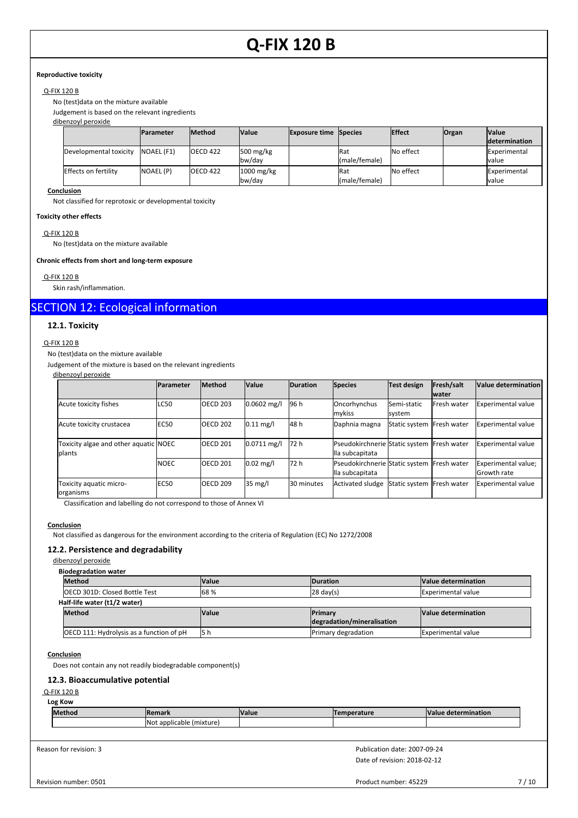#### **Reproductive toxicity**

### Q-FIX 120 B

No (test)data on the mixture available

Judgement is based on the relevant ingredients

dibenzoyl peroxide

|                        | <b>IParameter</b> | <b>Method</b>   | <b>Value</b> | <b>Exposure time Species</b> |               | <b>Effect</b> | <b>Organ</b> | <b>Value</b>          |
|------------------------|-------------------|-----------------|--------------|------------------------------|---------------|---------------|--------------|-----------------------|
|                        |                   |                 |              |                              |               |               |              | <b>Idetermination</b> |
| Developmental toxicity | <b>NOAEL (F1)</b> | <b>OECD 422</b> | 500 mg/ $kg$ |                              | Rat           | No effect     |              | <b>IExperimental</b>  |
|                        |                   |                 | bw/dav       |                              | (male/female) |               |              | Ivalue                |
| Effects on fertility   | INOAEL (P)        | <b>OECD 422</b> | $1000$ mg/kg |                              | Rat           | No effect     |              | Experimental          |
|                        |                   |                 | bw/dav       |                              | (male/female) |               |              | Ivalue                |

#### **Conclusion**

Not classified for reprotoxic or developmental toxicity

#### **Toxicity other effects**

Q-FIX 120 B

No (test)data on the mixture available

#### **Chronic effects from short and long-term exposure**

Q-FIX 120 B

Skin rash/inflammation.

## SECTION 12: Ecological information

#### **12.1. Toxicity**

#### Q-FIX 120 B

No (test)data on the mixture available

Judgement of the mixture is based on the relevant ingredients

dibenzoyl peroxide

|                                                  | <b>Parameter</b> | <b>Method</b>   | <b>Value</b>        | Duration   | <b>Species</b>                                    | Test design           | Fresh/salt<br>water | Value determination                |
|--------------------------------------------------|------------------|-----------------|---------------------|------------|---------------------------------------------------|-----------------------|---------------------|------------------------------------|
| Acute toxicity fishes                            | <b>LC50</b>      | <b>OECD 203</b> | $0.0602$ mg/l       | 96 h       | Oncorhynchus<br>mykiss                            | Semi-static<br>system | Fresh water         | <b>Experimental value</b>          |
| Acute toxicity crustacea                         | EC <sub>50</sub> | <b>OECD 202</b> | $0.11$ mg/l         | 48 h       | Daphnia magna                                     | Static system         | <b>Fresh water</b>  | <b>Experimental value</b>          |
| Toxicity algae and other aquatic NOEC<br>Iplants |                  | <b>OECD 201</b> | $0.0711$ mg/l       | 72 h       | Pseudokirchnerie Static system<br>lla subcapitata |                       | <b>IFresh water</b> | <b>Experimental value</b>          |
|                                                  | <b>NOEC</b>      | <b>OECD 201</b> | $0.02 \text{ mg/l}$ | 72 h       | Pseudokirchnerie Static system<br>lla subcapitata |                       | <b>Fresh water</b>  | Experimental value;<br>Growth rate |
| Toxicity aquatic micro-<br>organisms             | <b>EC50</b>      | <b>OECD 209</b> | $35 \text{ mg/l}$   | 30 minutes | <b>Activated sludge</b>                           | Static system         | Fresh water         | <b>Experimental value</b>          |

Classification and labelling do not correspond to those of Annex VI

#### **Conclusion**

Not classified as dangerous for the environment according to the criteria of Regulation (EC) No 1272/2008

#### **12.2. Persistence and degradability**

#### dibenzoyl peroxide

**Biodegradation water**

| <b>Method</b>                            | <b>Value</b> | <b>IDuration</b>           | Value determination       |  |  |  |  |  |  |
|------------------------------------------|--------------|----------------------------|---------------------------|--|--|--|--|--|--|
| <b>IOECD 301D: Closed Bottle Test</b>    | 68%          | $ 28 \text{ day}(s) $      | <b>Experimental value</b> |  |  |  |  |  |  |
| Half-life water (t1/2 water)             |              |                            |                           |  |  |  |  |  |  |
| <b>Method</b>                            | Value        | <b>IPrimary</b>            | Value determination       |  |  |  |  |  |  |
|                                          |              | degradation/mineralisation |                           |  |  |  |  |  |  |
| OECD 111: Hydrolysis as a function of pH | 5 h          | Primary degradation        | <b>Experimental value</b> |  |  |  |  |  |  |

#### **Conclusion**

Does not contain any not readily biodegradable component(s)

#### **12.3. Bioaccumulative potential**

#### Q-FIX 120 B

#### **Log Kow**

| lMethod | emark<br>ы                  | <b>Value</b> | <b>nerature</b><br><b>Tor</b> | <b>Value</b><br><b>rmination</b><br>ופו |
|---------|-----------------------------|--------------|-------------------------------|-----------------------------------------|
|         | INot applicable<br>(mixture |              |                               |                                         |

Reason for revision: 3

Date of revision: 2018-02-12 Publication date: 2007-09-24

Revision number: 0501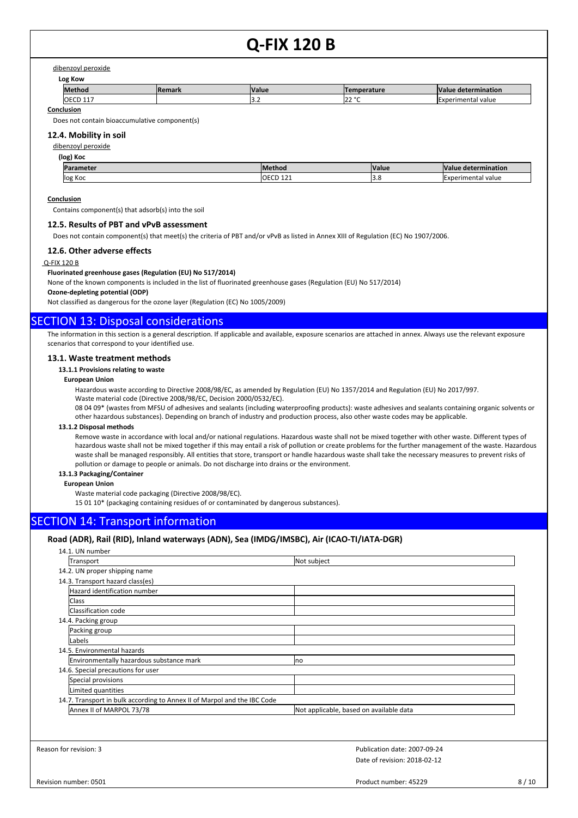dibenzoyl peroxide

**Log Kow**

| -------        |               |              |            |                                          |
|----------------|---------------|--------------|------------|------------------------------------------|
| <b>Methor</b>  | <b>Remark</b> | <b>Value</b> | ture       | rmination<br>aeter<br>alue               |
| . .<br>ັ<br>-- |               | .            | 220<br>144 | value<br>eental<br>$v_{\text{max}}$<br>⊩ |

**Conclusion**

Does not contain bioaccumulative component(s)

#### **12.4. Mobility in soil**

#### dibenzoyl peroxide

**(log) Koc**

| m.       | IM،<br>חחו | <b>Value</b> | mination<br>Wali.<br>П6                 |
|----------|------------|--------------|-----------------------------------------|
| llog Koc | וחו<br>. . | ۰            | perimenta<br>value<br>н а<br>$ \Lambda$ |

#### **Conclusion**

Contains component(s) that adsorb(s) into the soil

#### **12.5. Results of PBT and vPvB assessment**

Does not contain component(s) that meet(s) the criteria of PBT and/or vPvB as listed in Annex XIII of Regulation (EC) No 1907/2006.

#### **12.6. Other adverse effects**

#### Q-FIX 120 B

**Fluorinated greenhouse gases (Regulation (EU) No 517/2014)**

None of the known components is included in the list of fluorinated greenhouse gases (Regulation (EU) No 517/2014)

#### **Ozone-depleting potential (ODP)**

Not classified as dangerous for the ozone layer (Regulation (EC) No 1005/2009)

#### SECTION 13: Disposal considerations

The information in this section is a general description. If applicable and available, exposure scenarios are attached in annex. Always use the relevant exposure scenarios that correspond to your identified use.

#### **13.1. Waste treatment methods**

**13.1.1 Provisions relating to waste**

#### **European Union**

Hazardous waste according to Directive 2008/98/EC, as amended by Regulation (EU) No 1357/2014 and Regulation (EU) No 2017/997. Waste material code (Directive 2008/98/EC, Decision 2000/0532/EC).

08 04 09\* (wastes from MFSU of adhesives and sealants (including waterproofing products): waste adhesives and sealants containing organic solvents or other hazardous substances). Depending on branch of industry and production process, also other waste codes may be applicable.

#### **13.1.2 Disposal methods**

Remove waste in accordance with local and/or national regulations. Hazardous waste shall not be mixed together with other waste. Different types of hazardous waste shall not be mixed together if this may entail a risk of pollution or create problems for the further management of the waste. Hazardous waste shall be managed responsibly. All entities that store, transport or handle hazardous waste shall take the necessary measures to prevent risks of pollution or damage to people or animals. Do not discharge into drains or the environment.

#### **13.1.3 Packaging/Container**

#### **European Union**

Waste material code packaging (Directive 2008/98/EC).

15 01 10\* (packaging containing residues of or contaminated by dangerous substances).

## SECTION 14: Transport information

#### **Road (ADR), Rail (RID), Inland waterways (ADN), Sea (IMDG/IMSBC), Air (ICAO-TI/IATA-DGR)**

| Transport                                                                | Not subject                             |  |
|--------------------------------------------------------------------------|-----------------------------------------|--|
| 14.2. UN proper shipping name                                            |                                         |  |
| 14.3. Transport hazard class(es)                                         |                                         |  |
| Hazard identification number                                             |                                         |  |
| <b>Class</b>                                                             |                                         |  |
| Classification code                                                      |                                         |  |
| 14.4. Packing group                                                      |                                         |  |
| Packing group                                                            |                                         |  |
| Labels                                                                   |                                         |  |
| 14.5. Environmental hazards                                              |                                         |  |
| Environmentally hazardous substance mark                                 | <b>no</b>                               |  |
| 14.6. Special precautions for user                                       |                                         |  |
| Special provisions                                                       |                                         |  |
| Limited quantities                                                       |                                         |  |
| 14.7. Transport in bulk according to Annex II of Marpol and the IBC Code |                                         |  |
| Annex II of MARPOL 73/78                                                 | Not applicable, based on available data |  |

Reason for revision: 3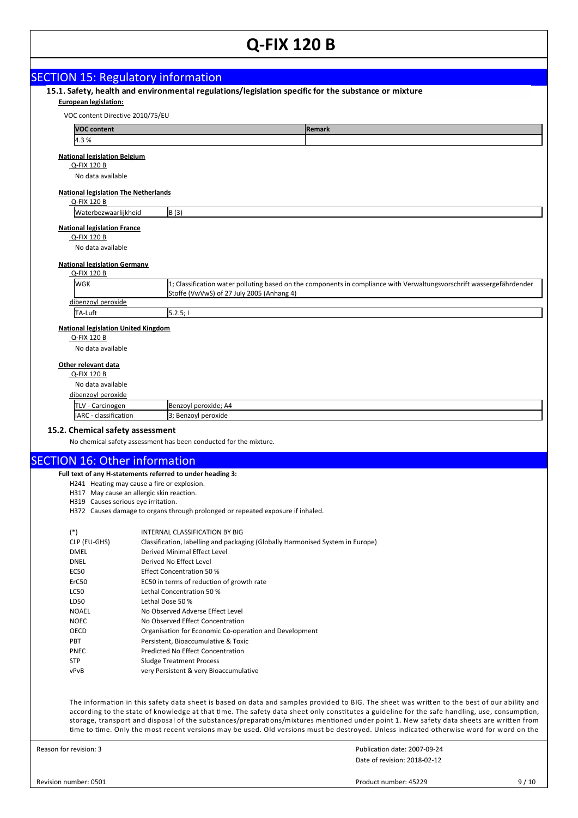|                                                           | <b>SECTION 15: Regulatory information</b>                                                                                                                                                                                                                                            |
|-----------------------------------------------------------|--------------------------------------------------------------------------------------------------------------------------------------------------------------------------------------------------------------------------------------------------------------------------------------|
|                                                           | 15.1. Safety, health and environmental regulations/legislation specific for the substance or mixture                                                                                                                                                                                 |
| <b>European legislation:</b>                              |                                                                                                                                                                                                                                                                                      |
| VOC content Directive 2010/75/EU                          |                                                                                                                                                                                                                                                                                      |
| VOC content                                               | Remark                                                                                                                                                                                                                                                                               |
| 4.3%                                                      |                                                                                                                                                                                                                                                                                      |
| <b>National legislation Belgium</b><br>Q-FIX 120 B        |                                                                                                                                                                                                                                                                                      |
| No data available                                         |                                                                                                                                                                                                                                                                                      |
| <b>National legislation The Netherlands</b>               |                                                                                                                                                                                                                                                                                      |
| Q-FIX 120 B                                               |                                                                                                                                                                                                                                                                                      |
| Waterbezwaarlijkheid                                      | B(3)                                                                                                                                                                                                                                                                                 |
| <b>National legislation France</b>                        |                                                                                                                                                                                                                                                                                      |
| Q-FIX 120 B<br>No data available                          |                                                                                                                                                                                                                                                                                      |
|                                                           |                                                                                                                                                                                                                                                                                      |
| <b>National legislation Germany</b><br>Q-FIX 120 B        |                                                                                                                                                                                                                                                                                      |
| <b>WGK</b>                                                | 1; Classification water polluting based on the components in compliance with Verwaltungsvorschrift wassergefährdender                                                                                                                                                                |
|                                                           | Stoffe (VwVwS) of 27 July 2005 (Anhang 4)                                                                                                                                                                                                                                            |
| dibenzoyl peroxide<br>TA-Luft                             | 5.2.5;                                                                                                                                                                                                                                                                               |
|                                                           |                                                                                                                                                                                                                                                                                      |
| <b>National legislation United Kingdom</b><br>Q-FIX 120 B |                                                                                                                                                                                                                                                                                      |
| No data available                                         |                                                                                                                                                                                                                                                                                      |
| Other relevant data                                       |                                                                                                                                                                                                                                                                                      |
| Q-FIX 120 B                                               |                                                                                                                                                                                                                                                                                      |
| No data available                                         |                                                                                                                                                                                                                                                                                      |
| dibenzoyl peroxide                                        |                                                                                                                                                                                                                                                                                      |
| TLV - Carcinogen                                          | Benzoyl peroxide; A4                                                                                                                                                                                                                                                                 |
| IARC - classification                                     | 3; Benzoyl peroxide                                                                                                                                                                                                                                                                  |
| 15.2. Chemical safety assessment                          |                                                                                                                                                                                                                                                                                      |
|                                                           | No chemical safety assessment has been conducted for the mixture.                                                                                                                                                                                                                    |
|                                                           |                                                                                                                                                                                                                                                                                      |
|                                                           |                                                                                                                                                                                                                                                                                      |
|                                                           | <b>SECTION 16: Other information</b>                                                                                                                                                                                                                                                 |
|                                                           | Full text of any H-statements referred to under heading 3:                                                                                                                                                                                                                           |
|                                                           | H241 Heating may cause a fire or explosion.                                                                                                                                                                                                                                          |
| H319 Causes serious eye irritation.                       | H317 May cause an allergic skin reaction.                                                                                                                                                                                                                                            |
|                                                           | H372 Causes damage to organs through prolonged or repeated exposure if inhaled.                                                                                                                                                                                                      |
|                                                           |                                                                                                                                                                                                                                                                                      |
| $(*)$                                                     | INTERNAL CLASSIFICATION BY BIG                                                                                                                                                                                                                                                       |
| CLP (EU-GHS)<br><b>DMEL</b>                               | Classification, labelling and packaging (Globally Harmonised System in Europe)<br><b>Derived Minimal Effect Level</b>                                                                                                                                                                |
| <b>DNEL</b>                                               | Derived No Effect Level                                                                                                                                                                                                                                                              |
| EC50                                                      | <b>Effect Concentration 50 %</b>                                                                                                                                                                                                                                                     |
| ErC50                                                     | EC50 in terms of reduction of growth rate                                                                                                                                                                                                                                            |
| LC50                                                      | Lethal Concentration 50 %                                                                                                                                                                                                                                                            |
| LD50                                                      | Lethal Dose 50 %                                                                                                                                                                                                                                                                     |
| <b>NOAEL</b>                                              | No Observed Adverse Effect Level                                                                                                                                                                                                                                                     |
| <b>NOEC</b>                                               | No Observed Effect Concentration                                                                                                                                                                                                                                                     |
| OECD                                                      | Organisation for Economic Co-operation and Development                                                                                                                                                                                                                               |
| PBT<br>PNEC                                               | Persistent, Bioaccumulative & Toxic<br>Predicted No Effect Concentration                                                                                                                                                                                                             |
| <b>STP</b>                                                | <b>Sludge Treatment Process</b>                                                                                                                                                                                                                                                      |
| vPvB                                                      | very Persistent & very Bioaccumulative                                                                                                                                                                                                                                               |
|                                                           |                                                                                                                                                                                                                                                                                      |
|                                                           | The information in this safety data sheet is based on data and samples provided to BIG. The sheet was written to the best of our ability and                                                                                                                                         |
|                                                           | according to the state of knowledge at that time. The safety data sheet only constitutes a guideline for the safe handling, use, consumption,                                                                                                                                        |
|                                                           | storage, transport and disposal of the substances/preparations/mixtures mentioned under point 1. New safety data sheets are written from<br>time to time. Only the most recent versions may be used. Old versions must be destroyed. Unless indicated otherwise word for word on the |